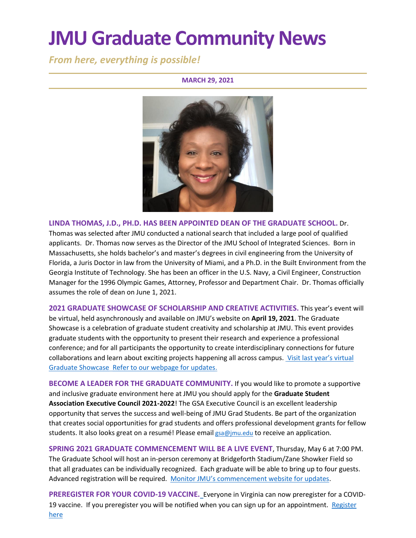# **JMU Graduate Community News**

*From here, everything is possible!*

### **MARCH 29, 2021**



**LINDA THOMAS, J.D., PH.D. HAS BEEN APPOINTED DEAN OF THE GRADUATE SCHOOL.** Dr. Thomas was selected after JMU conducted a national search that included a large pool of qualified applicants. Dr. Thomas now serves as the Director of the JMU School of Integrated Sciences. Born in Massachusetts, she holds bachelor's and master's degrees in civil engineering from the University of Florida, a Juris Doctor in law from the University of Miami, and a Ph.D. in the Built Environment from the Georgia Institute of Technology. She has been an officer in the U.S. Navy, a Civil Engineer, Construction Manager for the 1996 Olympic Games, Attorney, Professor and Department Chair. Dr. Thomas officially assumes the role of dean on June 1, 2021.

**2021 GRADUATE SHOWCASE OF SCHOLARSHIP AND CREATIVE ACTIVITIES.** This year's event will be virtual, held asynchronously and available on JMU's website on **April 19, 2021**. The Graduate Showcase is a celebration of graduate student creativity and scholarship at JMU. This event provides graduate students with the opportunity to present their research and experience a professional conference; and for all participants the opportunity to create interdisciplinary connections for future collaborations and learn about exciting projects happening all across campus. Visit last year's virtual [Graduate Showcase](https://www.jmu.edu/grad/GraduateShowcase/2020/index.shtml) [Refer to our webpage for updates.](https://www.jmu.edu/grad/GraduateShowcase/)

**BECOME A LEADER FOR THE GRADUATE COMMUNITY.** If you would like to promote a supportive and inclusive graduate environment here at JMU you should apply for the **Graduate Student Association Executive Council 2021-2022**! The GSA Executive Council is an excellent leadership opportunity that serves the success and well-being of JMU Grad Students. Be part of the organization that creates social opportunities for grad students and offers professional development grants for fellow students. It also looks great on a resumé! Please email [gsa@jmu.edu](mailto:gsa@jmu.edu) to receive an application.

**SPRING 2021 GRADUATE COMMENCEMENT WILL BE A LIVE EVENT**, Thursday, May 6 at 7:00 PM. The Graduate School will host an in-person ceremony at Bridgeforth Stadium/Zane Showker Field so that all graduates can be individually recognized. Each graduate will be able to bring up to four guests. Advanced registration will be required. [Monitor JMU's commencement website for updates](https://www.jmu.edu/commencement/).

**PREREGISTER FOR YOUR COVID-19 VACCINE.** Everyone in Virginia can now preregister for a COVID-19 vaccine. If you preregister you will be notified when you can sign up for an appointment. [Register](https://vaccinate.virginia.gov/)  [here](https://vaccinate.virginia.gov/)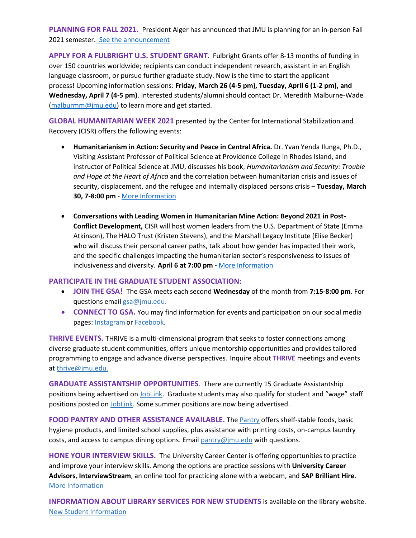**PLANNING FOR FALL 2021.** President Alger has announced that JMU is planning for an in-person Fall 2021 semester. [See the announcement](https://www.jmu.edu/news/2021/03/24-fall-in-person-plans.shtml)

**APPLY FOR A FULBRIGHT U.S. STUDENT GRANT**.  Fulbright Grants offer 8-13 months of funding in over 150 countries worldwide; recipients can conduct independent research, assistant in an English language classroom, or pursue further graduate study. Now is the time to start the applicant process! Upcoming information sessions: **Friday, March 26 (4-5 pm), Tuesday, April 6 (1-2 pm), and Wednesday, April 7 (4-5 pm)**. Interested students/alumni should contact Dr. Meredith Malburne-Wade [\(malburmm@jmu.edu\)](mailto:malburmm@jmu.edu) to learn more and get started.

**GLOBAL HUMANITARIAN WEEK 2021** presented by the Center for International Stabilization and Recovery (CISR) offers the following events:

- **Humanitarianism in Action: Security and Peace in Central Africa.** Dr. Yvan Yenda Ilunga, Ph.D., Visiting Assistant Professor of Political Science at Providence College in Rhodes Island, and instructor of Political Science at JMU, discusses his book, *[Humanitarianism](https://www.amazon.com/Humanitarianism-Security-Critical-Political-Practice/dp/3030516881) and Security: Trouble and Hope at the Heart of [Africa](https://www.amazon.com/Humanitarianism-Security-Critical-Political-Practice/dp/3030516881)* and the correlation between humanitarian crisis and issues of security, displacement, and the refugee and internally displaced persons crisis – **Tuesday, March 30, 7-8:00 pm** - [More Information](https://www.jmu.edu/cisr/other/ghw.html.shtml)
- **Conversations with Leading Women in Humanitarian Mine Action: Beyond 2021 in Post-Conflict Development,** CISR will host women leaders from the [U.S. Department of State](https://www.state.gov/) (Emma Atkinson), [The HALO Trust](https://www.halotrust.org/) (Kristen Stevens), and the [Marshall Legacy Institute](https://www.marshall-legacy.org/) (Elise Becker) who will discuss their personal career paths, talk about how gender has impacted their work, and the specific challenges impacting the humanitarian sector's responsiveness to issues of inclusiveness and diversity. **April 6 at 7:00 pm -** [More Information](https://www.jmu.edu/cisr/other/ghw.html.shtml)

### **PARTICIPATE IN THE GRADUATE STUDENT ASSOCIATION:**

- **JOIN THE GSA!** The GSA meets each second **Wednesday** of the month from **7:15-8:00 pm**. For questions email [gsa@jmu.edu.](mailto:gsa@jmu.edu)
- **CONNECT TO GSA.** You may find information for events and participation on our social media pages: [Instagramo](https://www.instagram.com/jmu_gsa/)r [Facebook.](https://www.facebook.com/JMUGSA/)

**THRIVE EVENTS.** THRIVE is a multi-dimensional program that seeks to foster connections among diverse graduate student communities, offers unique mentorship opportunities and provides tailored programming to engage and advance diverse perspectives. Inquire about **THRIVE** meetings and events a[t thrive@jmu.edu.](mailto:thrive@jmu.edu)

**GRADUATE ASSISTANTSHIP OPPORTUNITIES**. There are currently 15 Graduate Assistantship positions being advertised on [JobLink.](https://joblink.jmu.edu/) Graduate students may also qualify for student and "wage" staff positions posted on [JobLink.](https://joblink.jmu.edu/) Some summer positions are now being advertised.

**FOOD PANTRY AND OTHER ASSISTANCE AVAILABLE.** The [Pantry](https://info.jmu.edu/ocl/pop-up-pantry/) offers shelf-stable foods, basic hygiene products, and limited school supplies, plus assistance with printing costs, on-campus laundry costs, and access to campus dining options. Email  $\frac{paintv}{w}$  mu.edu with questions.

**HONE YOUR INTERVIEW SKILLS.** The University Career Center is offering opportunities to practice and improve your interview skills. Among the options are practice sessions with **University Career Advisors**, **InterviewStream**, an online tool for practicing alone with a webcam, and **SAP Brilliant Hire**. [More Information](https://www.jmu.edu/career/students/jobintern/interview/practice.shtml)

**INFORMATION ABOUT LIBRARY SERVICES FOR NEW STUDENTS** is available on the library website. [New Student Information](https://www.lib.jmu.edu/important-info-for-new-graduate-students/)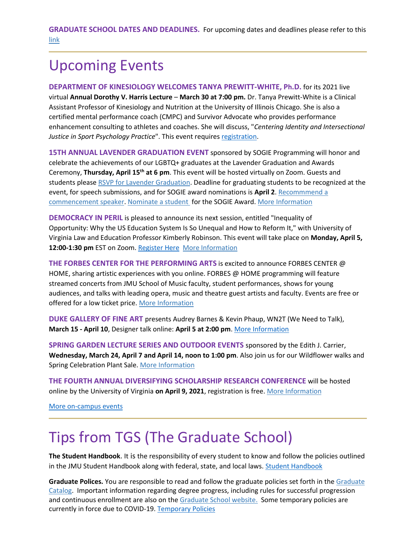**GRADUATE SCHOOL DATES AND DEADLINES.** For upcoming dates and deadlines please refer to this [link](https://www.jmu.edu/registrar/academic-calendar.shtml)

### Upcoming Events

**DEPARTMENT OF KINESIOLOGY WELCOMES TANYA PREWITT-WHITE, Ph.D.** for its 2021 live virtual **Annual Dorothy V. Harris Lecture** – **March 30 at 7:00 pm.** Dr. Tanya Prewitt-White is a Clinical Assistant Professor of Kinesiology and Nutrition at the University of Illinois Chicago. She is also a certified mental performance coach (CMPC) and Survivor Advocate who provides performance enhancement consulting to athletes and coaches. She will discuss, "*Centering Identity and Intersectional* Justice in Sport Psychology Practice". This event requires [registration.](https://2021kinesiologyharrislecture.questionpro.com/)

**15TH ANNUAL LAVENDER GRADUATION EVENT** sponsored by SOGIE Programming will honor and celebrate the achievements of our LGBTQ+ graduates at the Lavender Graduation and Awards Ceremony, **Thursday, April 15th at 6 pm**. This event will be hosted virtually on Zoom. Guests and students please [RSVP for Lavender Graduation.](https://urldefense.proofpoint.com/v2/url?u=https-3A__forms.gle_kwkV3JpMxR5r8d24A&d=DwMGaQ&c=eLbWYnpnzycBCgmb7vCI4uqNEB9RSjOdn_5nBEmmeq0&r=IQULcKUw-Ng3gbxxoezF8bxOIT4AvZd3Xinpy9hV34I&m=JUI34Z4N8S6zfGtMuBLDEyV7qnpVVbv-mePzVfk5Bgs&s=OKI8gjjGabJls-Z-j0E9Rk0SAvMz7lV5rsm0rc02-EI&e=) Deadline for graduating students to be recognized at the event, for speech submissions, and for SOGIE award nominations is **April 2**. Recommmend a [commencement speaker.](https://docs.google.com/forms/d/e/1FAIpQLSeGvacm3BgJdsdXzsYrc8kj1GoCzgTIEs_-jyM5LJ8ZLLTXkA/viewform?pli=1) [Nominate a student](https://docs.google.com/forms/d/e/1FAIpQLSc6wf3u2tFaa0iiX7TkTc-Je8Mdh2aHD45eaLroQu9bwYVd7A/viewform) for the SOGIE Award. [More Information](https://www.jmu.edu/studentaffairs/departments/diversity-equity-inclusion/SOGIE/lav-graduation.shtml)

**DEMOCRACY IN PERIL** is pleased to announce its next session, entitled "Inequality of Opportunity: Why the US Education System Is So Unequal and How to Reform It," with University of Virginia Law and Education Professor Kimberly Robinson. This event will take place on **Monday, April 5, 12:00-1:30 pm** EST on Zoom[. Register Here](https://jmu-edu.zoom.us/meeting/register/tZMlceuhrTIiHd0IqjGJLmYHENqY61H03ADX) [More Information](https://sites.lib.jmu.edu/democracyinperil/)

**THE FORBES CENTER FOR THE PERFORMING ARTS** is excited to announce FORBES CENTER @ HOME, sharing artistic experiences with you online. FORBES @ HOME programming will feature streamed concerts from JMU School of Music faculty, student performances, shows for young audiences, and talks with leading opera, music and theatre guest artists and faculty. Events are free or offered for a low ticket price[. More Information](https://jmuforbescenter.com/index.shtml)

**DUKE GALLERY OF FINE ART** presents Audrey Barnes & Kevin Phaup, WN2T (We Need to Talk), **March 15 - April 10**, Designer talk online: **April 5 at 2:00 pm**. [More Information](https://www.jmu.edu/dukehallgallery/index.shtml)

**SPRING GARDEN LECTURE SERIES AND OUTDOOR EVENTS** sponsored by the Edith J. Carrier, **Wednesday, March 24, April 7 and April 14, noon to 1:00 pm**. Also join us for our Wildflower walks and Spring Celebration Plant Sale. [More Information](https://www.jmu.edu/arboretum/events/adultprograms.shtml)

**THE FOURTH ANNUAL DIVERSIFYING SCHOLARSHIP RESEARCH CONFERENCE** will be hosted online by the University of Virginia **on April 9, 2021**, registration is free. [More Information](https://uva.theopenscholar.com/diversifyingscholarship)

[More on-campus events](https://ems.jmu.edu/MasterCalendar/MasterCalendar.aspx?_ga=2.261279492.802742690.1601384782-920476218.1518451077)

## Tips from TGS (The Graduate School)

**The Student Handbook**. It is the responsibility of every student to know and follow the policies outlined in the JMU Student Handbook along with federal, state, and local laws[. Student Handbook](https://www.jmu.edu/osarp/handbook/index.shtml)

**Graduate Polices.** You are responsible to read and follow the graduate policies set forth in the [Graduate](http://jmu.edu/catalog)  [Catalog.](http://jmu.edu/catalog) Important information regarding degree progress, including rules for successful progression and continuous enrollment are also on the [Graduate School website.](https://www.jmu.edu/grad/current-students/degree-progress/index.shtml) Some temporary policies are currently in force due to COVID-19. [Temporary Policies](https://www.jmu.edu/grad/temporary-graduate-school-policies.shtml)